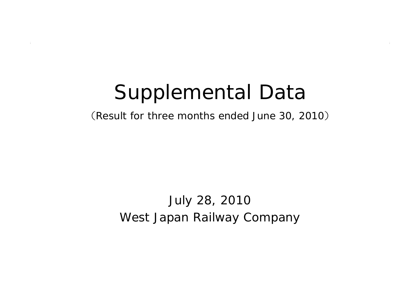# Supplemental Data

(Result for three months ended June 30, 2010 )

West Japan Railway Company July 28, 2010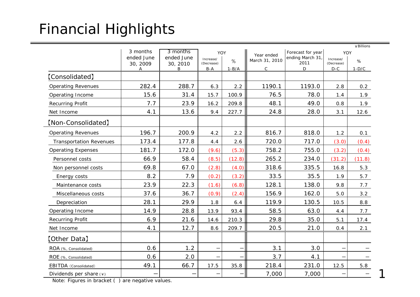## Financial Highlights

|                                |               |               |                          |         |                |                         |                         | ¥ Billions |  |
|--------------------------------|---------------|---------------|--------------------------|---------|----------------|-------------------------|-------------------------|------------|--|
|                                | 3 months      | 3 months      | YOY                      |         | Year ended     | Forecast for year       | YOY                     |            |  |
|                                | ended June    | ended June    | Increase/<br>(Decrease)  | %       | March 31, 2010 | ending March 31<br>2011 | Increase/<br>(Decrease) | %          |  |
|                                | 30, 2009<br>Α | 30, 2010<br>B | $B-A$                    | $1-B/A$ | $\mathsf{C}$   | D                       | $D-C$                   | $1-D/C$    |  |
| [Consolidated]                 |               |               |                          |         |                |                         |                         |            |  |
| <b>Operating Revenues</b>      | 282.4         | 288.7         | 6.3                      | 2.2     | 1190.1         | 1193.0                  | 2.8                     | 0.2        |  |
| Operating Income               | 15.6          | 31.4          | 15.7                     | 100.9   | 76.5           | 78.0                    | 1.4                     | 1.9        |  |
| <b>Recurring Profit</b>        | 7.7           | 23.9          | 16.2                     | 209.8   | 48.1           | 49.0                    | 0.8                     | 1.9        |  |
| Net Income                     | 4.1           | 13.6          | 9.4                      | 227.7   | 24.8           | 28.0                    | 3.1                     | 12.6       |  |
| [Non-Consolidated]             |               |               |                          |         |                |                         |                         |            |  |
| <b>Operating Revenues</b>      | 196.7         | 200.9         | 4.2                      | 2.2     | 816.7          | 818.0                   | 1.2                     | 0.1        |  |
| <b>Transportation Revenues</b> | 173.4         | 177.8         | 4.4                      | 2.6     | 720.0          | 717.0                   | (3.0)                   | (0.4)      |  |
| <b>Operating Expenses</b>      | 181.7         | 172.0         | (9.6)                    | (5.3)   | 758.2          | 755.0                   | (3.2)                   | (0.4)      |  |
| Personnel costs                | 66.9          | 58.4          | (8.5)                    | (12.8)  | 265.2          | 234.0                   | (31.2)                  | (11.8)     |  |
| Non personnel costs            | 69.8          | 67.0          | (2.8)                    | (4.0)   | 318.6          | 335.5                   | 16.8                    | 5.3        |  |
| Energy costs                   | 8.2           | 7.9           | (0.2)                    | (3.2)   | 33.5           | 35.5                    | 1.9                     | 5.7        |  |
| Maintenance costs              | 23.9          | 22.3          | (1.6)                    | (6.8)   | 128.1          | 138.0                   | 9.8                     | 7.7        |  |
| Miscellaneous costs            | 37.6          | 36.7          | (0.9)                    | (2.4)   | 156.9          | 162.0                   | 5.0                     | 3.2        |  |
| Depreciation                   | 28.1          | 29.9          | 1.8                      | 6.4     | 119.9          | 130.5                   | 10.5                    | 8.8        |  |
| Operating Income               | 14.9          | 28.8          | 13.9                     | 93.4    | 58.5           | 63.0                    | 4.4                     | 7.7        |  |
| <b>Recurring Profit</b>        | 6.9           | 21.6          | 14.6                     | 210.3   | 29.8           | 35.0                    | 5.1                     | 17.4       |  |
| Net Income                     | 4.1           | 12.7          | 8.6                      | 209.7   | 20.5           | 21.0                    | 0.4                     | 2.1        |  |
| 【Other Data】                   |               |               |                          |         |                |                         |                         |            |  |
| ROA (%, Consolidated)          | 0.6           | 1.2           | $\qquad \qquad -$        |         | 3.1            | 3.0                     |                         |            |  |
| ROE (%, Consolidated)          | 0.6           | 2.0           | $\overline{\phantom{0}}$ |         | 3.7            | 4.1                     | —                       |            |  |
| EBITDA (Consolidated)          | 49.1          | 66.7          | 17.5                     | 35.8    | 218.4          | 231.0                   | 12.5                    | 5.8        |  |
| Dividends per share $(*)$      |               |               |                          |         | 7,000          | 7,000                   |                         |            |  |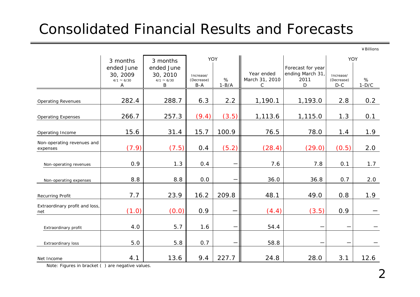### Consolidated Financial Results and Forecasts

¥Billions

|                                        | 3 months                                       | 3 months                                       | YOY                              |              |                                   |                                                    |                                  |              |
|----------------------------------------|------------------------------------------------|------------------------------------------------|----------------------------------|--------------|-----------------------------------|----------------------------------------------------|----------------------------------|--------------|
|                                        | ended June<br>30, 2009<br>$4/1 \sim 6/30$<br>А | ended June<br>30, 2010<br>$4/1 \sim 6/30$<br>B | Increase/<br>(Decrease)<br>$B-A$ | %<br>$1-B/A$ | Year ended<br>March 31, 2010<br>С | Forecast for year<br>ending March 31,<br>2011<br>D | Increase/<br>(Decrease)<br>$D-C$ | %<br>$1-D/C$ |
| <b>Operating Revenues</b>              | 282.4                                          | 288.7                                          | 6.3                              | 2.2          | 1,190.1                           | 1,193.0                                            | 2.8                              | 0.2          |
| <b>Operating Expenses</b>              | 266.7                                          | 257.3                                          | (9.4)                            | (3.5)        | 1,113.6                           | 1,115.0                                            | 1.3                              | 0.1          |
| Operating Income                       | 15.6                                           | 31.4                                           | 15.7                             | 100.9        | 76.5                              | 78.0                                               | 1.4                              | 1.9          |
| Non-operating revenues and<br>expenses | (7.9)                                          | (7.5)                                          | 0.4                              | (5.2)        | (28.4)                            | (29.0)                                             | (0.5)                            | 2.0          |
| Non-operating revenues                 | 0.9                                            | 1.3                                            | 0.4                              |              | 7.6                               | 7.8                                                | 0.1                              | 1.7          |
| Non-operating expenses                 | 8.8                                            | 8.8                                            | 0.0                              |              | 36.0                              | 36.8                                               | 0.7                              | 2.0          |
| Recurring Profit                       | 7.7                                            | 23.9                                           | 16.2                             | 209.8        | 48.1                              | 49.0                                               | 0.8                              | 1.9          |
| Extraordinary profit and loss,<br>net  | (1.0)                                          | (0.0)                                          | 0.9                              |              | (4.4)                             | (3.5)                                              | 0.9                              |              |
| Extraordinary profit                   | 4.0                                            | 5.7                                            | 1.6                              |              | 54.4                              |                                                    |                                  |              |
| Extraordinary loss                     | 5.0                                            | 5.8                                            | 0.7                              |              | 58.8                              |                                                    | $\overline{\phantom{m}}$         |              |
| Net Income                             | 4.1                                            | 13.6                                           | 9.4                              | 227.7        | 24.8                              | 28.0                                               | 3.1                              | 12.6         |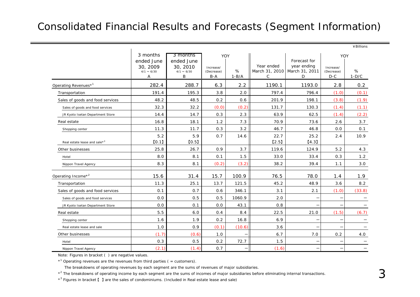#### Consolidated Financial Results and Forecasts (Segment Information)

|                                          | 3 months<br>3 months                           |                                                | YOY                              |              |                 |                                                                     | YOY                              |              |
|------------------------------------------|------------------------------------------------|------------------------------------------------|----------------------------------|--------------|-----------------|---------------------------------------------------------------------|----------------------------------|--------------|
|                                          | ended June<br>30, 2009<br>$4/1 \sim 6/30$<br>Α | ended June<br>30, 2010<br>$4/1 \sim 6/30$<br>B | Increase/<br>(Decrease)<br>$B-A$ | %<br>$1-B/A$ | Year ended<br>C | Forecast for<br>year ending<br>March 31, 2010   March 31, 2011<br>D | Increase/<br>(Decrease)<br>$D-C$ | %<br>$1-D/C$ |
| Operating Revenues* <sup>1</sup>         | 282.4                                          | 288.7                                          | 6.3                              | 2.2          | 1190.1          | 1193.0                                                              | 2.8                              | 0.2          |
| Transportation                           | 191.4                                          | 195.3                                          | 3.8                              | 2.0          | 797.4           | 796.4                                                               | (1.0)                            | (0.1)        |
| Sales of goods and food services         | 48.2                                           | 48.5                                           | 0.2                              | 0.6          | 201.9           | 198.1                                                               | (3.8)                            | (1.9)        |
| Sales of goods and food services         | 32.3                                           | 32.2                                           | (0.0)                            | (0.2)        | 131.7           | 130.3                                                               | (1.4)                            | (1.1)        |
| JR Kyoto Isetan Department Store         | 14.4                                           | 14.7                                           | 0.3                              | 2.3          | 63.9            | 62.5                                                                | (1.4)                            | (2.2)        |
| Real estate                              | 16.8                                           | 18.1                                           | 1.2                              | 7.3          | 70.9            | 73.6                                                                | 2.6                              | 3.7          |
| Shopping center                          | 11.3                                           | 11.7                                           | 0.3                              | 3.2          | 46.7            | 46.8                                                                | 0.0                              | 0.1          |
| Real estate lease and sale* <sup>3</sup> | 5.2<br>[0.1]                                   | 5.9<br>[0.5]                                   | 0.7                              | 14.6         | 22.7<br>[2.5]   | 25.2<br>[4.3]                                                       | 2.4                              | 10.9         |
| Other businesses                         | 25.8                                           | 26.7                                           | 0.9                              | 3.7          | 119.6           | 124.9                                                               | 5.2                              | 4.3          |
| Hotel                                    | 8.0                                            | 8.1                                            | 0.1                              | 1.5          | 33.0            | 33.4                                                                | 0.3                              | 1.2          |
| Nippon Travel Agency                     | 8.3                                            | 8.1                                            | (0.2)                            | (3.2)        | 38.2            | 39.4                                                                | 1.1                              | 3.0          |
| Operating Income* <sup>2</sup>           | 15.6                                           | 31.4                                           | 15.7                             | 100.9        | 76.5            | 78.0                                                                | 1.4                              | 1.9          |
| Transportation                           | 11.3                                           | 25.1                                           | 13.7                             | 121.5        | 45.2            | 48.9                                                                | 3.6                              | 8.2          |
| Sales of goods and food services         | 0.1                                            | 0.7                                            | 0.6                              | 346.1        | 3.1             | 2.1                                                                 | (1.0)                            | (33.8)       |
| Sales of goods and food services         | 0.0                                            | 0.5                                            | 0.5                              | 1060.9       | 2.0             |                                                                     |                                  |              |
| JR Kyoto Isetan Department Store         | 0.0                                            | 0.1                                            | 0.0                              | 43.1         | 0.8             |                                                                     |                                  |              |
| Real estate                              | 5.5                                            | 6.0                                            | 0.4                              | 8.4          | 22.5            | 21.0                                                                | (1.5)                            | (6.7)        |
| Shopping center                          | 1.6                                            | 1.9                                            | 0.2                              | 16.8         | 6.9             | $\overline{\phantom{0}}$                                            |                                  |              |
| Real estate lease and sale               | 1.0                                            | 0.9                                            | (0.1)                            | (10.6)       | 3.6             |                                                                     |                                  |              |
| Other businesses                         | (1.7)                                          | (0.6)                                          | 1.0                              |              | 6.7             | 7.0                                                                 | 0.2                              | 4.0          |
| Hotel                                    | 0.3                                            | 0.5                                            | 0.2                              | 72.7         | 1.5             |                                                                     |                                  |              |
| Nippon Travel Agency                     | (2.1)                                          | (1.4)                                          | 0.7                              |              | (1.6)           | $\overline{\phantom{0}}$                                            |                                  |              |

Note: Figures in bracket ( ) are negative values.

 $*$ <sup>1</sup> Operating revenues are the revenues from third parties ( = customers).

The breakdowns of operating revenues by each segment are the sums of revenues of major subsidiaries.

 $*^2$  The breakdowns of operating income by each segment are the sums of incomes of major subsidiaries before eliminating internal transactions.

\*3 Figures in bracket 【 】 are the sales of condominiums. (Included in Real estate lease and sale)

¥Billions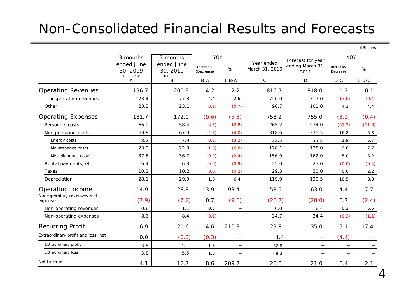#### Non-Consolidated Financial Results and Forecasts

¥Billions

|                                        | 3 months<br>ended June      | 3 months<br>ended June      | YOY                     |                          | Year ended     | Forecast for year        | YOY                     |         |
|----------------------------------------|-----------------------------|-----------------------------|-------------------------|--------------------------|----------------|--------------------------|-------------------------|---------|
|                                        | 30, 2009<br>$4/1 \sim 6/30$ | 30, 2010<br>$4/1 \sim 6/30$ | Increase/<br>(Decrease) | %                        | March 31, 2010 | ending March 31<br>2011  | Increase/<br>(Decrease) | %       |
|                                        | Α                           | B                           | $B-A$                   | $1 - B/A$                | C              | D                        | $D-C$                   | $1-D/C$ |
| <b>Operating Revenues</b>              | 196.7                       | 200.9                       | 4.2                     | 2.2                      | 816.7          | 818.0                    | 1.2                     | 0.1     |
| Transportation revenues                | 173.4                       | 177.8                       | 4.4                     | 2.6                      | 720.0          | 717.0                    | (3.0)                   | (0.4)   |
| Other                                  | 23.3                        | 23.1                        | (0.1)                   | (0.7)                    | 96.7           | 101.0                    | 4.2                     | 4.4     |
| <b>Operating Expenses</b>              | 181.7                       | 172.0                       | (9.6)                   | (5.3)                    | 758.2          | 755.0                    | (3.2)                   | (0.4)   |
| Personnel costs                        | 66.9                        | 58.4                        | (8.5)                   | (12.8)                   | 265.2          | 234.0                    | (31.2)                  | (11.8)  |
| Non personnel costs                    | 69.8                        | 67.0                        | (2.8)                   | (4.0)                    | 318.6          | 335.5                    | 16.8                    | 5.3     |
| Energy costs                           | 8.2                         | 7.9                         | (0.2)                   | (3.2)                    | 33.5           | 35.5                     | 1.9                     | 5.7     |
| Maintenance costs                      | 23.9                        | 22.3                        | (1.6)                   | (6.8)                    | 128.1          | 138.0                    | 9.8                     | 7.7     |
| Miscellaneous costs                    | 37.6                        | 36.7                        | (0.9)                   | (2.4)                    | 156.9          | 162.0                    | $5.0$                   | 3.2     |
| Rental payments, etc.                  | 6.4                         | 6.3                         | (0.0)                   | (0.9)                    | 25.0           | 25.0                     | (0.0)                   | (0.4)   |
| Taxes                                  | 10.2                        | 10.2                        | (0.0)                   | (0.2)                    | 29.3           | 30.0                     | 0.6                     | 2.2     |
| Depreciation                           | 28.1                        | 29.9                        | 1.8                     | 6.4                      | 119.9          | 130.5                    | 10.5                    | 8.8     |
| Operating Income                       | 14.9                        | 28.8                        | 13.9                    | 93.4                     | 58.5           | 63.0                     | 4.4                     | 7.7     |
| Non-operating revenues and<br>expenses | (7.9)                       | (7.2)                       | 0.7                     | (9.0)                    | (28.7)         | (28.0)                   | 0.7                     | (2.4)   |
| Non-operating revenues                 | 0.6                         | 1.1                         | 0.5                     |                          | 6.0            | 6.4                      | 0.3                     | 5.5     |
| Non-operating expenses                 | 8.6                         | 8.4                         | (0.1)                   |                          | 34.7           | 34.4                     | (0.3)                   | (1.1)   |
| <b>Recurring Profit</b>                | 6.9                         | 21.6                        | 14.6                    | 210.3                    | 29.8           | 35.0                     | 5.1                     | 17.4    |
| Extraordinary profit and loss, net     | 0.0                         | (0.3)                       | (0.3)                   | <u>—</u>                 | 4.4            | $\overline{\phantom{0}}$ | (4.4)                   |         |
| Extraordinary profit                   | 3.8                         | 5.1                         | 1.3                     | $\overline{\phantom{m}}$ | 52.8           |                          |                         |         |
| <b>Extraordinary loss</b>              | 3.8                         | 5.5                         | 1.6                     |                          | 48.3           |                          |                         |         |
| Net Income                             | 4.1                         | 12.7                        | 8.6                     | 209.7                    | 20.5           | 21.0                     | 0.4                     | 2.1     |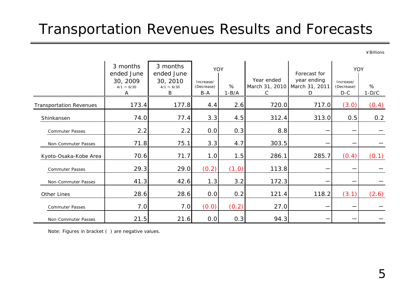#### Transportation Revenues Results and Forecasts

¥Billions

|                                | 3 months<br>ended June<br>30, 2009<br>$4/1 \sim 6/30$<br>A | 3 months<br>ended June<br>30, 2010<br>$4/1 \sim 6/30$<br>B | Increase/<br>(Decrease)<br>$B-A$ | YOY<br>%<br>$1-B/A$ | Year ended<br>March 31, 2010 March 31, 2011<br>C | Forecast for<br>year ending<br>D | YOY<br>Increase/<br>(Decrease)<br>$D-C$ | %<br>$1-D/C$ |
|--------------------------------|------------------------------------------------------------|------------------------------------------------------------|----------------------------------|---------------------|--------------------------------------------------|----------------------------------|-----------------------------------------|--------------|
| <b>Transportation Revenues</b> | 173.4                                                      | 177.8                                                      | 4.4                              | 2.6                 | 720.0                                            | 717.0                            | (3.0)                                   | (0.4)        |
| Shinkansen                     | 74.0                                                       | 77.4                                                       | 3.3                              | 4.5                 | 312.4                                            | 313.0                            | 0.5                                     | 0.2          |
| <b>Commuter Passes</b>         | 2.2                                                        | 2.2                                                        | 0.0                              | 0.3                 | 8.8                                              |                                  | —                                       |              |
| Non-Commuter Passes            | 71.8                                                       | 75.1                                                       | 3.3                              | 4.7                 | 303.5                                            |                                  | —                                       |              |
| Kyoto-Osaka-Kobe Area          | 70.6                                                       | 71.7                                                       | 1.0                              | 1.5                 | 286.1                                            | 285.7                            | (0.4)                                   | (0.1)        |
| <b>Commuter Passes</b>         | 29.3                                                       | 29.0                                                       | (0.2)                            | (1.0)               | 113.8                                            |                                  | —                                       |              |
| Non-Commuter Passes            | 41.3                                                       | 42.6                                                       | 1.3                              | 3.2                 | 172.3                                            |                                  | —                                       |              |
| Other Lines                    | 28.6                                                       | 28.6                                                       | 0.0                              | 0.2                 | 121.4                                            | 118.2                            | (3.1)                                   | (2.6)        |
| <b>Commuter Passes</b>         | 7.0                                                        | 7.0                                                        | (0.0)                            | (0.2)               | 27.0                                             |                                  |                                         |              |
| Non-Commuter Passes            | 21.5                                                       | 21.6                                                       | 0.0                              | 0.3                 | 94.3                                             |                                  |                                         |              |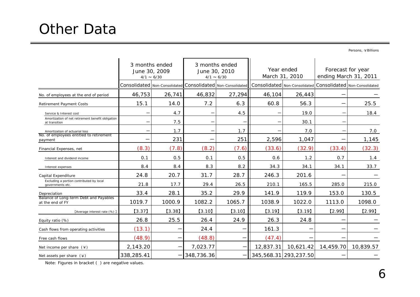### Other Data

Persons, ¥Billions

|                                                                    | 3 months ended<br>June 30, 2009<br>$4/1 \sim 6/30$ |        |            | 3 months ended<br>June 30, 2010<br>$4/1 \sim 6/30$                                                                                    | Year ended<br>March 31, 2010 |           | Forecast for year<br>ending March 31, 2011 |           |
|--------------------------------------------------------------------|----------------------------------------------------|--------|------------|---------------------------------------------------------------------------------------------------------------------------------------|------------------------------|-----------|--------------------------------------------|-----------|
|                                                                    |                                                    |        |            | Consolidated   Non-Consolidated   Consolidated   Non-Consolidated   Consolidated   Non-Consolidated   Consolidated   Non-Consolidated |                              |           |                                            |           |
| No. of employees at the end of period                              | 46,753                                             | 26,741 | 46,832     | 27,294                                                                                                                                | 46,104                       | 26,443    |                                            |           |
| <b>Retirement Payment Costs</b>                                    | 15.1                                               | 14.0   | 7.2        | 6.3                                                                                                                                   | 60.8                         | 56.3      |                                            | 25.5      |
| Service & Interest cost                                            |                                                    | 4.7    |            | 4.5                                                                                                                                   |                              | 19.0      |                                            | 18.4      |
| Amortization of net retirement benefit obligation<br>at transition |                                                    | 7.5    |            |                                                                                                                                       |                              | 30.1      |                                            |           |
| Amortization of actuarial loss                                     |                                                    | 1.7    |            | 1.7                                                                                                                                   |                              | 7.0       |                                            | 7.0       |
| No. of employees entitled to retirement<br>payment                 |                                                    | 231    |            | 251                                                                                                                                   | 2,596                        | 1,047     | —                                          | 1,145     |
| Financial Expenses, net                                            | (8.3)                                              | (7.8)  | (8.2)      | (7.6)                                                                                                                                 | (33.6)                       | (32.9)    | (33.4)                                     | (32.3)    |
| Interest and dividend income                                       | 0.1                                                | 0.5    | 0.1        | 0.5                                                                                                                                   | 0.6                          | 1.2       | 0.7                                        | 1.4       |
| Interest expenses                                                  | 8.4                                                | 8.4    | 8.3        | 8.2                                                                                                                                   | 34.3                         | 34.1      | 34.1                                       | 33.7      |
| Capital Expenditure                                                | 24.8                                               | 20.7   | 31.7       | 28.7                                                                                                                                  | 246.3                        | 201.6     |                                            |           |
| Excluding a portion contributed by local<br>governments etc.       | 21.8                                               | 17.7   | 29.4       | 26.5                                                                                                                                  | 210.1                        | 165.5     | 285.0                                      | 215.0     |
| Depreciation                                                       | 33.4                                               | 28.1   | 35.2       | 29.9                                                                                                                                  | 141.9                        | 119.9     | 153.0                                      | 130.5     |
| Balance of Long-term Debt and Payables<br>at the end of FY         | 1019.7                                             | 1000.9 | 1082.2     | 1065.7                                                                                                                                | 1038.9                       | 1022.0    | 1113.0                                     | 1098.0    |
| [Average interest rate (%)]                                        | $[3.37]$                                           | [3.38] | [3.10]     | [3.10]                                                                                                                                | [3.19]                       | [3.19]    | [2.99]                                     | [2.99]    |
| Equity ratio (%)                                                   | 26.8                                               | 25.5   | 26.4       | 24.9                                                                                                                                  | 26.3                         | 24.8      |                                            |           |
| Cash flows from operating activities                               | (13.1)                                             |        | 24.4       |                                                                                                                                       | 161.3                        |           |                                            |           |
| Free cash flows                                                    | (48.9)                                             |        | (48.8)     |                                                                                                                                       | (47.4)                       |           |                                            |           |
| Net income per share $(*)$                                         | 2,143.20                                           |        | 7,023.77   |                                                                                                                                       | 12,837.31                    | 10,621.42 | 14,459.70                                  | 10,839.57 |
| Net assets per share $(*)$                                         | 338,285.41                                         |        | 348,736.36 |                                                                                                                                       | 345,568.31 293,237.50        |           |                                            |           |